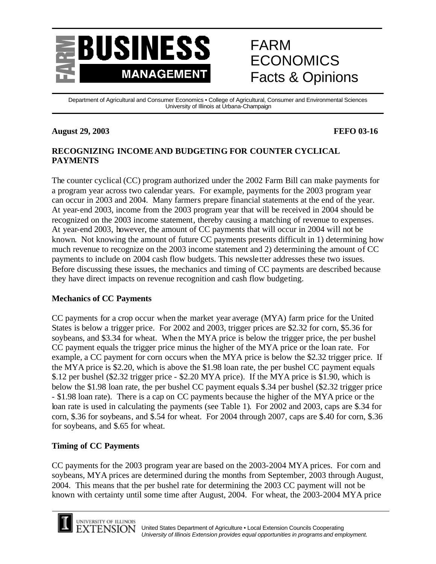

# FARM ECONOMICS Facts & Opinions

Department of Agricultural and Consumer Economics • College of Agricultural, Consumer and Environmental Sciences University of Illinois at Urbana-Champaign

#### **August 29, 2003 FEFO 03-16**

# **RECOGNIZING INCOME AND BUDGETING FOR COUNTER CYCLICAL PAYMENTS**

The counter cyclical (CC) program authorized under the 2002 Farm Bill can make payments for a program year across two calendar years. For example, payments for the 2003 program year can occur in 2003 and 2004. Many farmers prepare financial statements at the end of the year. At year-end 2003, income from the 2003 program year that will be received in 2004 should be recognized on the 2003 income statement, thereby causing a matching of revenue to expenses. At year-end 2003, however, the amount of CC payments that will occur in 2004 will not be known. Not knowing the amount of future CC payments presents difficult in 1) determining how much revenue to recognize on the 2003 income statement and 2) determining the amount of CC payments to include on 2004 cash flow budgets. This newsletter addresses these two issues. Before discussing these issues, the mechanics and timing of CC payments are described because they have direct impacts on revenue recognition and cash flow budgeting.

### **Mechanics of CC Payments**

CC payments for a crop occur when the market year average (MYA) farm price for the United States is below a trigger price. For 2002 and 2003, trigger prices are \$2.32 for corn, \$5.36 for soybeans, and \$3.34 for wheat. When the MYA price is below the trigger price, the per bushel CC payment equals the trigger price minus the higher of the MYA price or the loan rate. For example, a CC payment for corn occurs when the MYA price is below the \$2.32 trigger price. If the MYA price is \$2.20, which is above the \$1.98 loan rate, the per bushel CC payment equals \$.12 per bushel (\$2.32 trigger price - \$2.20 MYA price). If the MYA price is \$1.90, which is below the \$1.98 loan rate, the per bushel CC payment equals \$.34 per bushel (\$2.32 trigger price - \$1.98 loan rate). There is a cap on CC payments because the higher of the MYA price or the loan rate is used in calculating the payments (see Table 1). For 2002 and 2003, caps are \$.34 for corn, \$.36 for soybeans, and \$.54 for wheat. For 2004 through 2007, caps are \$.40 for corn, \$.36 for soybeans, and \$.65 for wheat.

### **Timing of CC Payments**

CC payments for the 2003 program year are based on the 2003-2004 MYA prices. For corn and soybeans, MYA prices are determined during the months from September, 2003 through August, 2004. This means that the per bushel rate for determining the 2003 CC payment will not be known with certainty until some time after August, 2004. For wheat, the 2003-2004 MYA price



UNIVERSITY OF ILLINOIS XTENSION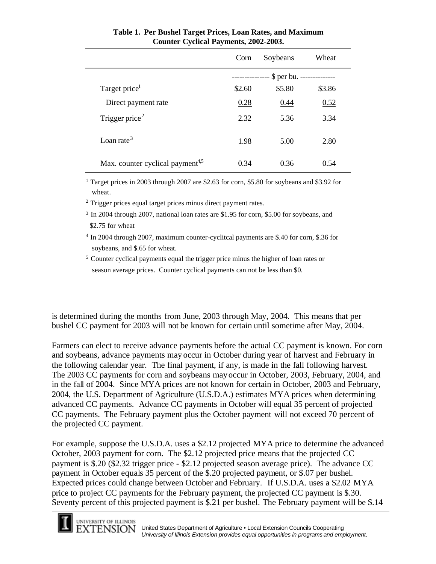|                                              | Corn                                    | Soybeans | Wheat  |
|----------------------------------------------|-----------------------------------------|----------|--------|
|                                              | \$ per bu. --------------<br>---------- |          |        |
| Target price <sup>1</sup>                    | \$2.60                                  | \$5.80   | \$3.86 |
| Direct payment rate                          | 0.28                                    | 0.44     | 0.52   |
| Trigger price <sup>2</sup>                   | 2.32                                    | 5.36     | 3.34   |
| Loan rate <sup>3</sup>                       | 1.98                                    | 5.00     | 2.80   |
| Max. counter cyclical payment <sup>4,5</sup> | 0.34                                    | 0.36     | 0.54   |

### **Table 1. Per Bushel Target Prices, Loan Rates, and Maximum Counter Cyclical Payments, 2002-2003.**

<sup>1</sup> Target prices in 2003 through 2007 are \$2.63 for corn, \$5.80 for soybeans and \$3.92 for wheat.

<sup>2</sup> Trigger prices equal target prices minus direct payment rates.

<sup>3</sup> In 2004 through 2007, national loan rates are \$1.95 for corn, \$5.00 for soybeans, and \$2.75 for wheat

<sup>4</sup> In 2004 through 2007, maximum counter-cyclitcal payments are \$.40 for corn, \$.36 for soybeans, and \$.65 for wheat.

<sup>5</sup> Counter cyclical payments equal the trigger price minus the higher of loan rates or season average prices. Counter cyclical payments can not be less than \$0.

is determined during the months from June, 2003 through May, 2004. This means that per bushel CC payment for 2003 will not be known for certain until sometime after May, 2004.

Farmers can elect to receive advance payments before the actual CC payment is known. For corn and soybeans, advance payments may occur in October during year of harvest and February in the following calendar year. The final payment, if any, is made in the fall following harvest. The 2003 CC payments for corn and soybeans may occur in October, 2003, February, 2004, and in the fall of 2004. Since MYA prices are not known for certain in October, 2003 and February, 2004, the U.S. Department of Agriculture (U.S.D.A.) estimates MYA prices when determining advanced CC payments. Advance CC payments in October will equal 35 percent of projected CC payments. The February payment plus the October payment will not exceed 70 percent of the projected CC payment.

For example, suppose the U.S.D.A. uses a \$2.12 projected MYA price to determine the advanced October, 2003 payment for corn. The \$2.12 projected price means that the projected CC payment is \$.20 (\$2.32 trigger price - \$2.12 projected season average price). The advance CC payment in October equals 35 percent of the \$.20 projected payment, or \$.07 per bushel. Expected prices could change between October and February. If U.S.D.A. uses a \$2.02 MYA price to project CC payments for the February payment, the projected CC payment is \$.30. Seventy percent of this projected payment is \$.21 per bushel. The February payment will be \$.14

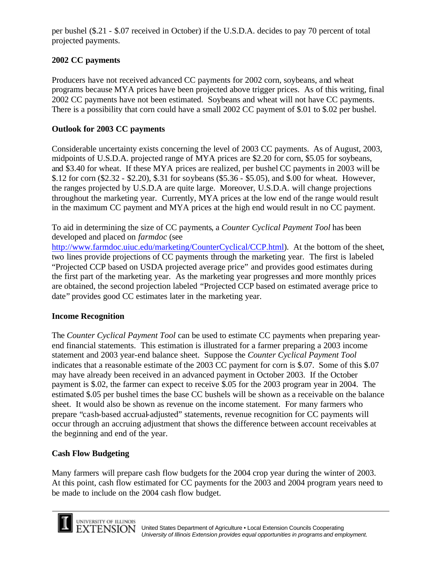per bushel (\$.21 - \$.07 received in October) if the U.S.D.A. decides to pay 70 percent of total projected payments.

# **2002 CC payments**

Producers have not received advanced CC payments for 2002 corn, soybeans, and wheat programs because MYA prices have been projected above trigger prices. As of this writing, final 2002 CC payments have not been estimated. Soybeans and wheat will not have CC payments. There is a possibility that corn could have a small 2002 CC payment of \$.01 to \$.02 per bushel.

# **Outlook for 2003 CC payments**

Considerable uncertainty exists concerning the level of 2003 CC payments. As of August, 2003, midpoints of U.S.D.A. projected range of MYA prices are \$2.20 for corn, \$5.05 for soybeans, and \$3.40 for wheat. If these MYA prices are realized, per bushel CC payments in 2003 will be \$.12 for corn (\$2.32 - \$2.20), \$.31 for soybeans (\$5.36 - \$5.05), and \$.00 for wheat. However, the ranges projected by U.S.D.A are quite large. Moreover, U.S.D.A. will change projections throughout the marketing year. Currently, MYA prices at the low end of the range would result in the maximum CC payment and MYA prices at the high end would result in no CC payment.

To aid in determining the size of CC payments, a *Counter Cyclical Payment Tool* has been developed and placed on *farmdoc* (see

http://www.farmdoc.uiuc.edu/marketing/CounterCyclical/CCP.html). At the bottom of the sheet, two lines provide projections of CC payments through the marketing year. The first is labeled "Projected CCP based on USDA projected average price" and provides good estimates during the first part of the marketing year. As the marketing year progresses and more monthly prices are obtained, the second projection labeled "Projected CCP based on estimated average price to date" provides good CC estimates later in the marketing year.

# **Income Recognition**

The *Counter Cyclical Payment Tool* can be used to estimate CC payments when preparing yearend financial statements. This estimation is illustrated for a farmer preparing a 2003 income statement and 2003 year-end balance sheet. Suppose the *Counter Cyclical Payment Tool* indicates that a reasonable estimate of the 2003 CC payment for corn is \$.07. Some of this \$.07 may have already been received in an advanced payment in October 2003. If the October payment is \$.02, the farmer can expect to receive \$.05 for the 2003 program year in 2004. The estimated \$.05 per bushel times the base CC bushels will be shown as a receivable on the balance sheet. It would also be shown as revenue on the income statement. For many farmers who prepare "cash-based accrual-adjusted" statements, revenue recognition for CC payments will occur through an accruing adjustment that shows the difference between account receivables at the beginning and end of the year.

# **Cash Flow Budgeting**

Many farmers will prepare cash flow budgets for the 2004 crop year during the winter of 2003. At this point, cash flow estimated for CC payments for the 2003 and 2004 program years need to be made to include on the 2004 cash flow budget.